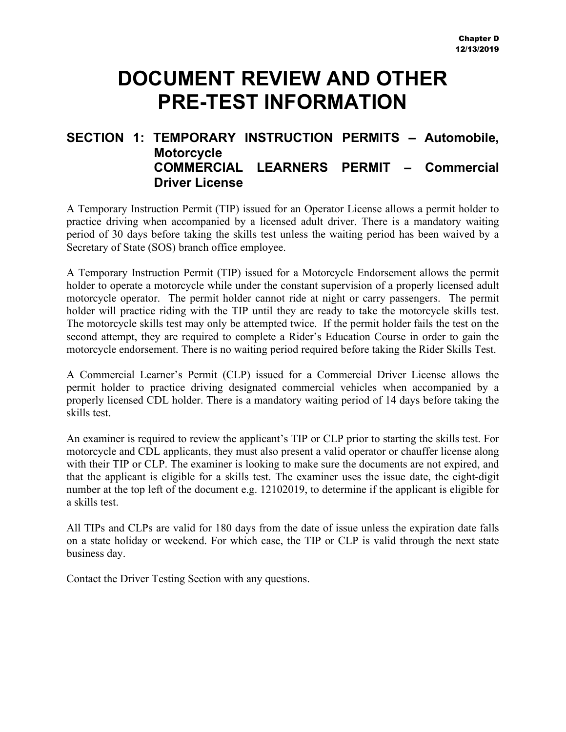### **DOCUMENT REVIEW AND OTHER PRE-TEST INFORMATION**

### **SECTION 1: TEMPORARY INSTRUCTION PERMITS – Automobile, Motorcycle COMMERCIAL LEARNERS PERMIT – Commercial Driver License**

A Temporary Instruction Permit (TIP) issued for an Operator License allows a permit holder to practice driving when accompanied by a licensed adult driver. There is a mandatory waiting period of 30 days before taking the skills test unless the waiting period has been waived by a Secretary of State (SOS) branch office employee.

A Temporary Instruction Permit (TIP) issued for a Motorcycle Endorsement allows the permit holder to operate a motorcycle while under the constant supervision of a properly licensed adult motorcycle operator. The permit holder cannot ride at night or carry passengers. The permit holder will practice riding with the TIP until they are ready to take the motorcycle skills test. The motorcycle skills test may only be attempted twice. If the permit holder fails the test on the second attempt, they are required to complete a Rider's Education Course in order to gain the motorcycle endorsement. There is no waiting period required before taking the Rider Skills Test.

A Commercial Learner's Permit (CLP) issued for a Commercial Driver License allows the permit holder to practice driving designated commercial vehicles when accompanied by a properly licensed CDL holder. There is a mandatory waiting period of 14 days before taking the skills test.

An examiner is required to review the applicant's TIP or CLP prior to starting the skills test. For motorcycle and CDL applicants, they must also present a valid operator or chauffer license along with their TIP or CLP. The examiner is looking to make sure the documents are not expired, and that the applicant is eligible for a skills test. The examiner uses the issue date, the eight-digit number at the top left of the document e.g. 12102019, to determine if the applicant is eligible for a skills test.

All TIPs and CLPs are valid for 180 days from the date of issue unless the expiration date falls on a state holiday or weekend. For which case, the TIP or CLP is valid through the next state business day.

Contact the Driver Testing Section with any questions.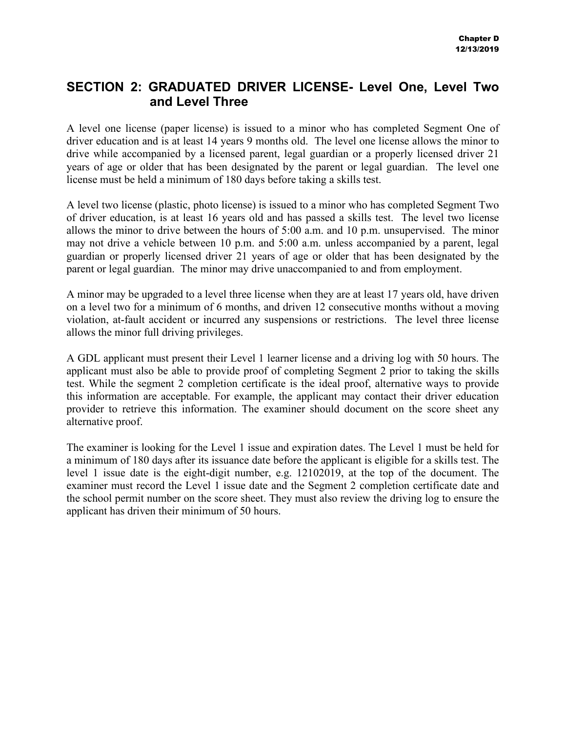### **SECTION 2: GRADUATED DRIVER LICENSE- Level One, Level Two and Level Three**

A level one license (paper license) is issued to a minor who has completed Segment One of driver education and is at least 14 years 9 months old. The level one license allows the minor to drive while accompanied by a licensed parent, legal guardian or a properly licensed driver 21 years of age or older that has been designated by the parent or legal guardian. The level one license must be held a minimum of 180 days before taking a skills test.

A level two license (plastic, photo license) is issued to a minor who has completed Segment Two of driver education, is at least 16 years old and has passed a skills test. The level two license allows the minor to drive between the hours of 5:00 a.m. and 10 p.m. unsupervised. The minor may not drive a vehicle between 10 p.m. and 5:00 a.m. unless accompanied by a parent, legal guardian or properly licensed driver 21 years of age or older that has been designated by the parent or legal guardian. The minor may drive unaccompanied to and from employment.

A minor may be upgraded to a level three license when they are at least 17 years old, have driven on a level two for a minimum of 6 months, and driven 12 consecutive months without a moving violation, at-fault accident or incurred any suspensions or restrictions. The level three license allows the minor full driving privileges.

A GDL applicant must present their Level 1 learner license and a driving log with 50 hours. The applicant must also be able to provide proof of completing Segment 2 prior to taking the skills test. While the segment 2 completion certificate is the ideal proof, alternative ways to provide this information are acceptable. For example, the applicant may contact their driver education provider to retrieve this information. The examiner should document on the score sheet any alternative proof.

The examiner is looking for the Level 1 issue and expiration dates. The Level 1 must be held for a minimum of 180 days after its issuance date before the applicant is eligible for a skills test. The level 1 issue date is the eight-digit number, e.g. 12102019, at the top of the document. The examiner must record the Level 1 issue date and the Segment 2 completion certificate date and the school permit number on the score sheet. They must also review the driving log to ensure the applicant has driven their minimum of 50 hours.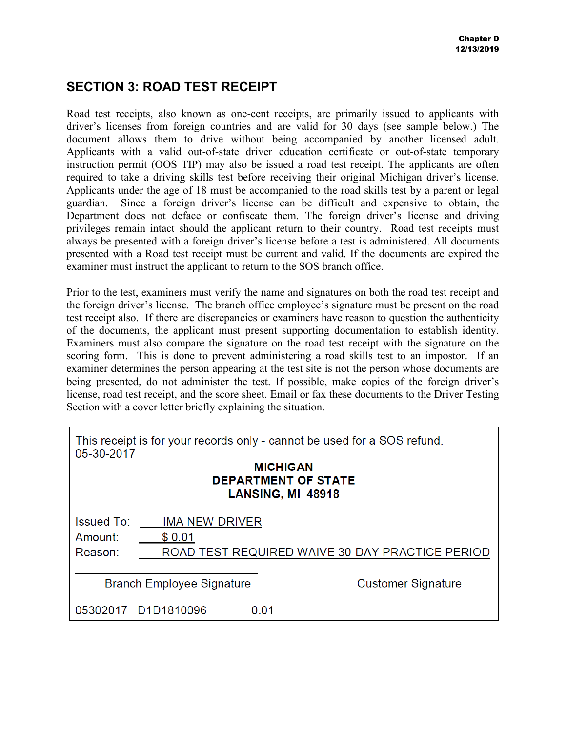### **SECTION 3: ROAD TEST RECEIPT**

Road test receipts, also known as one-cent receipts, are primarily issued to applicants with driver's licenses from foreign countries and are valid for 30 days (see sample below.) The document allows them to drive without being accompanied by another licensed adult. Applicants with a valid out-of-state driver education certificate or out-of-state temporary instruction permit (OOS TIP) may also be issued a road test receipt. The applicants are often required to take a driving skills test before receiving their original Michigan driver's license. Applicants under the age of 18 must be accompanied to the road skills test by a parent or legal guardian. Since a foreign driver's license can be difficult and expensive to obtain, the Department does not deface or confiscate them. The foreign driver's license and driving privileges remain intact should the applicant return to their country. Road test receipts must always be presented with a foreign driver's license before a test is administered. All documents presented with a Road test receipt must be current and valid. If the documents are expired the examiner must instruct the applicant to return to the SOS branch office.

Prior to the test, examiners must verify the name and signatures on both the road test receipt and the foreign driver's license. The branch office employee's signature must be present on the road test receipt also. If there are discrepancies or examiners have reason to question the authenticity of the documents, the applicant must present supporting documentation to establish identity. Examiners must also compare the signature on the road test receipt with the signature on the scoring form. This is done to prevent administering a road skills test to an impostor. If an examiner determines the person appearing at the test site is not the person whose documents are being presented, do not administer the test. If possible, make copies of the foreign driver's license, road test receipt, and the score sheet. Email or fax these documents to the Driver Testing Section with a cover letter briefly explaining the situation.

| This receipt is for your records only - cannot be used for a SOS refund.<br>05-30-2017<br><b>MICHIGAN</b><br><b>DEPARTMENT OF STATE</b><br>LANSING, MI 48918 |                                 |       |                                                 |
|--------------------------------------------------------------------------------------------------------------------------------------------------------------|---------------------------------|-------|-------------------------------------------------|
| <b>Issued To:</b><br>Amount:<br>Reason:                                                                                                                      | <b>IMA NEW DRIVER</b><br>\$0.01 |       | ROAD TEST REQUIRED WAIVE 30-DAY PRACTICE PERIOD |
| <b>Branch Employee Signature</b>                                                                                                                             |                                 |       | <b>Customer Signature</b>                       |
|                                                                                                                                                              | 05302017 D1D1810096             | 0 O 1 |                                                 |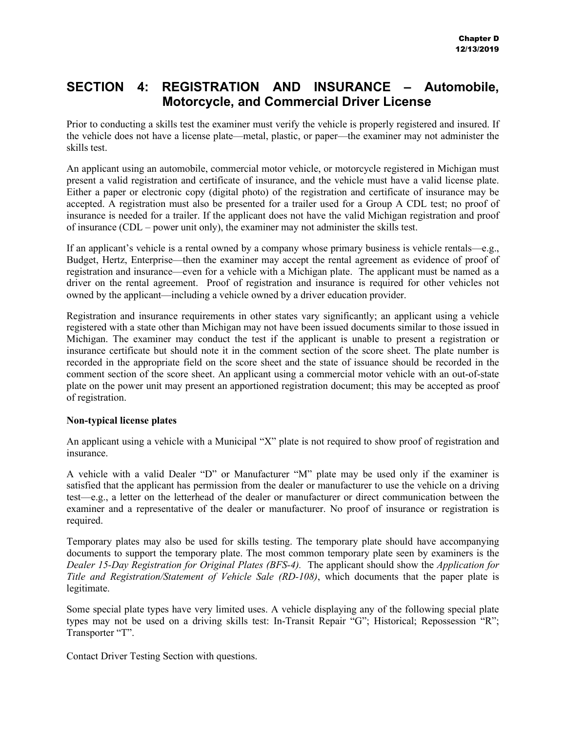### **SECTION 4: REGISTRATION AND INSURANCE – Automobile, Motorcycle, and Commercial Driver License**

Prior to conducting a skills test the examiner must verify the vehicle is properly registered and insured. If the vehicle does not have a license plate—metal, plastic, or paper—the examiner may not administer the skills test.

An applicant using an automobile, commercial motor vehicle, or motorcycle registered in Michigan must present a valid registration and certificate of insurance, and the vehicle must have a valid license plate. Either a paper or electronic copy (digital photo) of the registration and certificate of insurance may be accepted. A registration must also be presented for a trailer used for a Group A CDL test; no proof of insurance is needed for a trailer. If the applicant does not have the valid Michigan registration and proof of insurance (CDL – power unit only), the examiner may not administer the skills test.

If an applicant's vehicle is a rental owned by a company whose primary business is vehicle rentals—e.g., Budget, Hertz, Enterprise—then the examiner may accept the rental agreement as evidence of proof of registration and insurance—even for a vehicle with a Michigan plate. The applicant must be named as a driver on the rental agreement. Proof of registration and insurance is required for other vehicles not owned by the applicant—including a vehicle owned by a driver education provider.

Registration and insurance requirements in other states vary significantly; an applicant using a vehicle registered with a state other than Michigan may not have been issued documents similar to those issued in Michigan. The examiner may conduct the test if the applicant is unable to present a registration or insurance certificate but should note it in the comment section of the score sheet. The plate number is recorded in the appropriate field on the score sheet and the state of issuance should be recorded in the comment section of the score sheet. An applicant using a commercial motor vehicle with an out-of-state plate on the power unit may present an apportioned registration document; this may be accepted as proof of registration.

### **Non-typical license plates**

An applicant using a vehicle with a Municipal "X" plate is not required to show proof of registration and insurance.

A vehicle with a valid Dealer "D" or Manufacturer "M" plate may be used only if the examiner is satisfied that the applicant has permission from the dealer or manufacturer to use the vehicle on a driving test—e.g., a letter on the letterhead of the dealer or manufacturer or direct communication between the examiner and a representative of the dealer or manufacturer. No proof of insurance or registration is required.

Temporary plates may also be used for skills testing. The temporary plate should have accompanying documents to support the temporary plate. The most common temporary plate seen by examiners is the *Dealer 15-Day Registration for Original Plates (BFS-4).* The applicant should show the *Application for Title and Registration/Statement of Vehicle Sale (RD-108)*, which documents that the paper plate is legitimate.

Some special plate types have very limited uses. A vehicle displaying any of the following special plate types may not be used on a driving skills test: In-Transit Repair "G"; Historical; Repossession "R"; Transporter "T".

Contact Driver Testing Section with questions.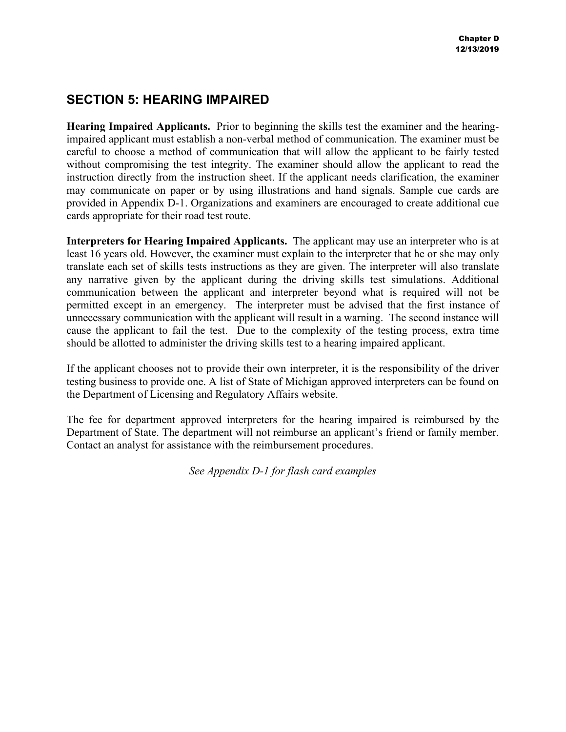### **SECTION 5: HEARING IMPAIRED**

**Hearing Impaired Applicants.** Prior to beginning the skills test the examiner and the hearingimpaired applicant must establish a non-verbal method of communication. The examiner must be careful to choose a method of communication that will allow the applicant to be fairly tested without compromising the test integrity. The examiner should allow the applicant to read the instruction directly from the instruction sheet. If the applicant needs clarification, the examiner may communicate on paper or by using illustrations and hand signals. Sample cue cards are provided in Appendix D-1. Organizations and examiners are encouraged to create additional cue cards appropriate for their road test route.

**Interpreters for Hearing Impaired Applicants.** The applicant may use an interpreter who is at least 16 years old. However, the examiner must explain to the interpreter that he or she may only translate each set of skills tests instructions as they are given. The interpreter will also translate any narrative given by the applicant during the driving skills test simulations. Additional communication between the applicant and interpreter beyond what is required will not be permitted except in an emergency. The interpreter must be advised that the first instance of unnecessary communication with the applicant will result in a warning. The second instance will cause the applicant to fail the test. Due to the complexity of the testing process, extra time should be allotted to administer the driving skills test to a hearing impaired applicant.

If the applicant chooses not to provide their own interpreter, it is the responsibility of the driver testing business to provide one. A list of State of Michigan approved interpreters can be found on the Department of Licensing and Regulatory Affairs website.

The fee for department approved interpreters for the hearing impaired is reimbursed by the Department of State. The department will not reimburse an applicant's friend or family member. Contact an analyst for assistance with the reimbursement procedures.

*See Appendix D-1 for flash card examples*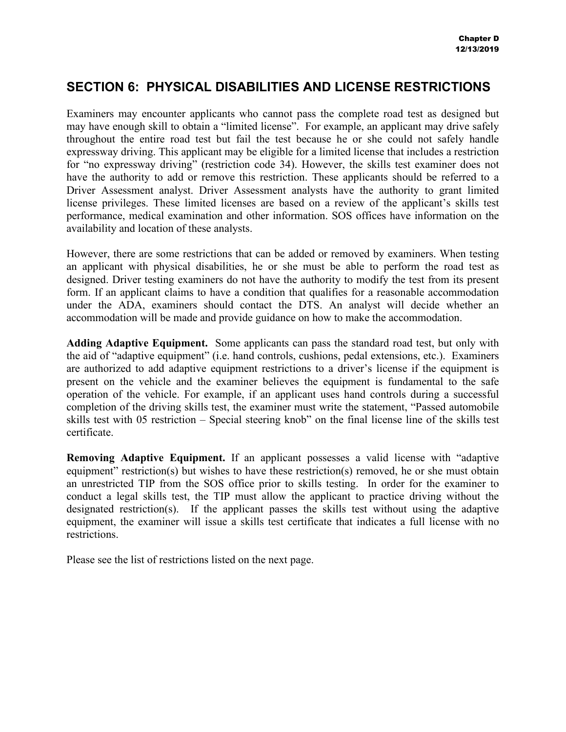### **SECTION 6: PHYSICAL DISABILITIES AND LICENSE RESTRICTIONS**

Examiners may encounter applicants who cannot pass the complete road test as designed but may have enough skill to obtain a "limited license". For example, an applicant may drive safely throughout the entire road test but fail the test because he or she could not safely handle expressway driving. This applicant may be eligible for a limited license that includes a restriction for "no expressway driving" (restriction code 34). However, the skills test examiner does not have the authority to add or remove this restriction. These applicants should be referred to a Driver Assessment analyst. Driver Assessment analysts have the authority to grant limited license privileges. These limited licenses are based on a review of the applicant's skills test performance, medical examination and other information. SOS offices have information on the availability and location of these analysts.

However, there are some restrictions that can be added or removed by examiners. When testing an applicant with physical disabilities, he or she must be able to perform the road test as designed. Driver testing examiners do not have the authority to modify the test from its present form. If an applicant claims to have a condition that qualifies for a reasonable accommodation under the ADA, examiners should contact the DTS. An analyst will decide whether an accommodation will be made and provide guidance on how to make the accommodation.

**Adding Adaptive Equipment.** Some applicants can pass the standard road test, but only with the aid of "adaptive equipment" (i.e. hand controls, cushions, pedal extensions, etc.). Examiners are authorized to add adaptive equipment restrictions to a driver's license if the equipment is present on the vehicle and the examiner believes the equipment is fundamental to the safe operation of the vehicle. For example, if an applicant uses hand controls during a successful completion of the driving skills test, the examiner must write the statement, "Passed automobile skills test with 05 restriction – Special steering knob" on the final license line of the skills test certificate.

**Removing Adaptive Equipment.** If an applicant possesses a valid license with "adaptive equipment" restriction(s) but wishes to have these restriction(s) removed, he or she must obtain an unrestricted TIP from the SOS office prior to skills testing. In order for the examiner to conduct a legal skills test, the TIP must allow the applicant to practice driving without the designated restriction(s). If the applicant passes the skills test without using the adaptive equipment, the examiner will issue a skills test certificate that indicates a full license with no restrictions.

Please see the list of restrictions listed on the next page.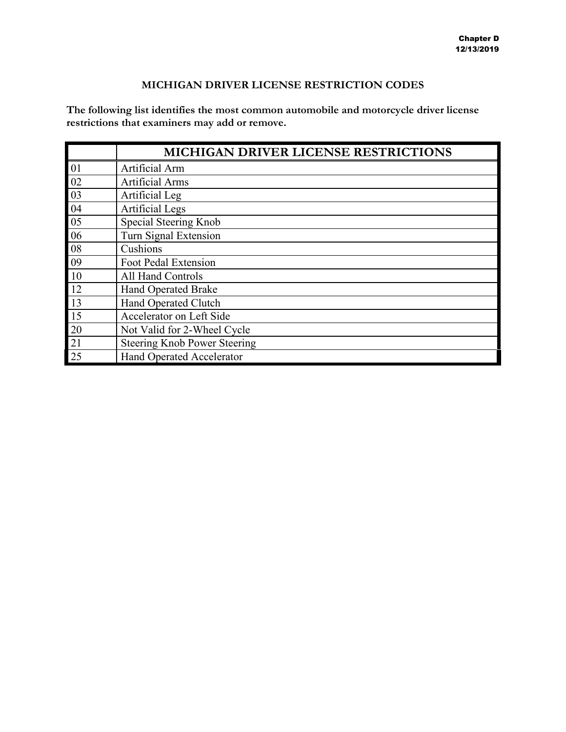### **MICHIGAN DRIVER LICENSE RESTRICTION CODES**

**The following list identifies the most common automobile and motorcycle driver license restrictions that examiners may add or remove.** 

|    | <b>MICHIGAN DRIVER LICENSE RESTRICTIONS</b> |
|----|---------------------------------------------|
| 01 | Artificial Arm                              |
| 02 | <b>Artificial Arms</b>                      |
| 03 | Artificial Leg                              |
| 04 | <b>Artificial Legs</b>                      |
| 05 | Special Steering Knob                       |
| 06 | Turn Signal Extension                       |
| 08 | Cushions                                    |
| 09 | Foot Pedal Extension                        |
| 10 | All Hand Controls                           |
| 12 | <b>Hand Operated Brake</b>                  |
| 13 | Hand Operated Clutch                        |
| 15 | Accelerator on Left Side                    |
| 20 | Not Valid for 2-Wheel Cycle                 |
| 21 | <b>Steering Knob Power Steering</b>         |
| 25 | <b>Hand Operated Accelerator</b>            |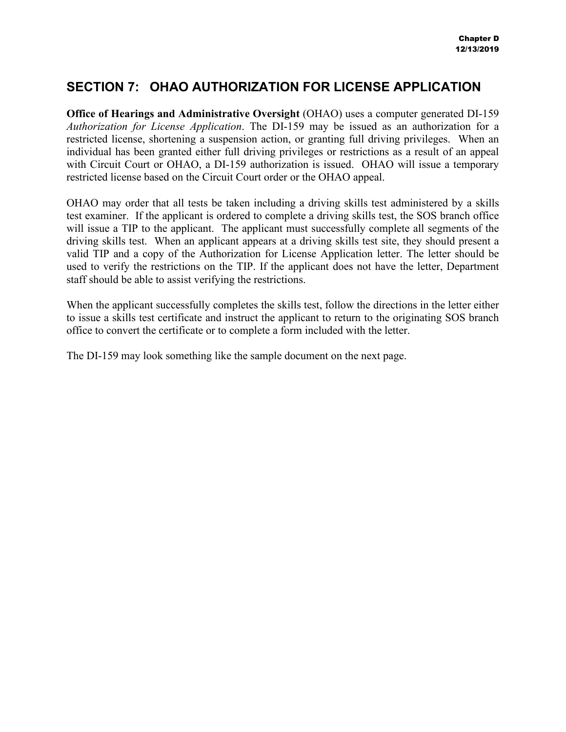### **SECTION 7: OHAO AUTHORIZATION FOR LICENSE APPLICATION**

**Office of Hearings and Administrative Oversight** (OHAO) uses a computer generated DI-159 *Authorization for License Application*. The DI-159 may be issued as an authorization for a restricted license, shortening a suspension action, or granting full driving privileges. When an individual has been granted either full driving privileges or restrictions as a result of an appeal with Circuit Court or OHAO, a DI-159 authorization is issued. OHAO will issue a temporary restricted license based on the Circuit Court order or the OHAO appeal.

OHAO may order that all tests be taken including a driving skills test administered by a skills test examiner. If the applicant is ordered to complete a driving skills test, the SOS branch office will issue a TIP to the applicant. The applicant must successfully complete all segments of the driving skills test. When an applicant appears at a driving skills test site, they should present a valid TIP and a copy of the Authorization for License Application letter. The letter should be used to verify the restrictions on the TIP. If the applicant does not have the letter, Department staff should be able to assist verifying the restrictions.

When the applicant successfully completes the skills test, follow the directions in the letter either to issue a skills test certificate and instruct the applicant to return to the originating SOS branch office to convert the certificate or to complete a form included with the letter.

The DI-159 may look something like the sample document on the next page.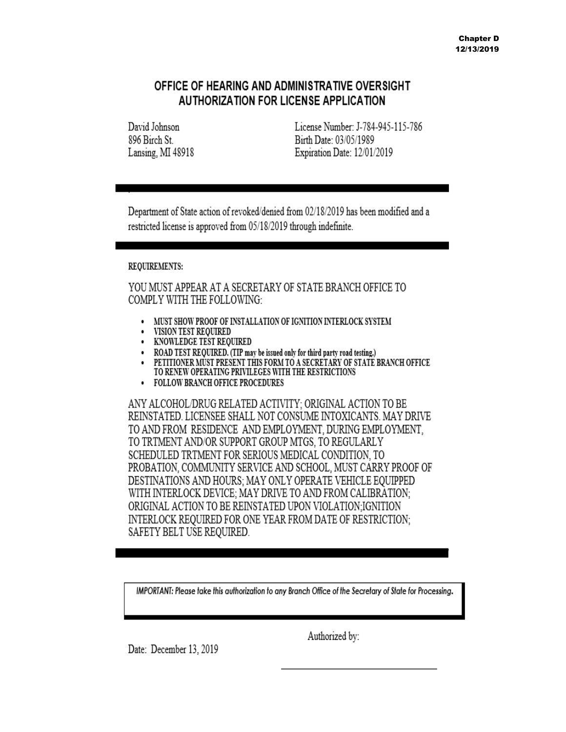### OFFICE OF HEARING AND ADMINISTRATIVE OVERSIGHT **AUTHORIZATION FOR LICENSE APPLICATION**

David Johnson 896 Birch St Lansing, MI 48918 License Number: J-784-945-115-786 Birth Date: 03/05/1989 Expiration Date: 12/01/2019

Department of State action of revoked/denied from 02/18/2019 has been modified and a restricted license is approved from 05/18/2019 through indefinite.

### REQUIREMENTS:

YOU MUST APPEAR AT A SECRETARY OF STATE BRANCH OFFICE TO **COMPLY WITH THE FOLLOWING:** 

- MUST SHOW PROOF OF INSTALLATION OF IGNITION INTERLOCK SYSTEM  $\bullet$
- VISION TEST REQUIRED
- KNOWLEDGE TEST REQUIRED
- ROAD TEST REQUIRED. (TIP may be issued only for third party road testing.)
- PETITIONER MUST PRESENT THIS FORM TO A SECRETARY OF STATE BRANCH OFFICE TO RENEW OPERATING PRIVILEGES WITH THE RESTRICTIONS
- FOLLOW BRANCH OFFICE PROCEDURES

ANY ALCOHOL/DRUG RELATED ACTIVITY: ORIGINAL ACTION TO BE REINSTATED. LICENSEE SHALL NOT CONSUME INTOXICANTS. MAY DRIVE TO AND FROM RESIDENCE AND EMPLOYMENT, DURING EMPLOYMENT, TO TRTMENT AND/OR SUPPORT GROUP MTGS, TO REGULARLY SCHEDULED TRTMENT FOR SERIOUS MEDICAL CONDITION, TO PROBATION, COMMUNITY SERVICE AND SCHOOL, MUST CARRY PROOF OF DESTINATIONS AND HOURS; MAY ONLY OPERATE VEHICLE EQUIPPED WITH INTERLOCK DEVICE: MAY DRIVE TO AND FROM CALIBRATION: ORIGINAL ACTION TO BE REINSTATED UPON VIOLATION:IGNITION INTERLOCK REQUIRED FOR ONE YEAR FROM DATE OF RESTRICTION: SAFETY BELT USE REQUIRED.

IMPORTANT: Please take this authorization to any Branch Office of the Secretary of State for Processing.

Date: December 13, 2019

Authorized by: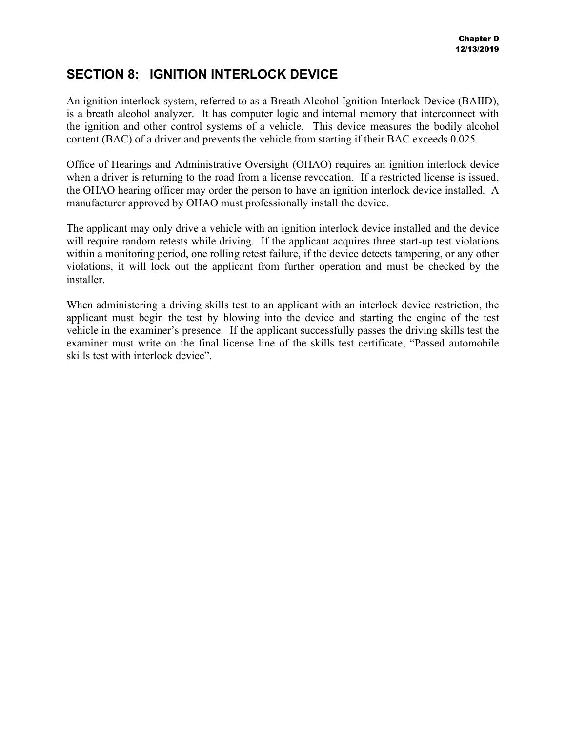### **SECTION 8: IGNITION INTERLOCK DEVICE**

An ignition interlock system, referred to as a Breath Alcohol Ignition Interlock Device (BAIID), is a breath alcohol analyzer. It has computer logic and internal memory that interconnect with the ignition and other control systems of a vehicle. This device measures the bodily alcohol content (BAC) of a driver and prevents the vehicle from starting if their BAC exceeds 0.025.

Office of Hearings and Administrative Oversight (OHAO) requires an ignition interlock device when a driver is returning to the road from a license revocation. If a restricted license is issued, the OHAO hearing officer may order the person to have an ignition interlock device installed. A manufacturer approved by OHAO must professionally install the device.

The applicant may only drive a vehicle with an ignition interlock device installed and the device will require random retests while driving. If the applicant acquires three start-up test violations within a monitoring period, one rolling retest failure, if the device detects tampering, or any other violations, it will lock out the applicant from further operation and must be checked by the installer.

When administering a driving skills test to an applicant with an interlock device restriction, the applicant must begin the test by blowing into the device and starting the engine of the test vehicle in the examiner's presence. If the applicant successfully passes the driving skills test the examiner must write on the final license line of the skills test certificate, "Passed automobile skills test with interlock device".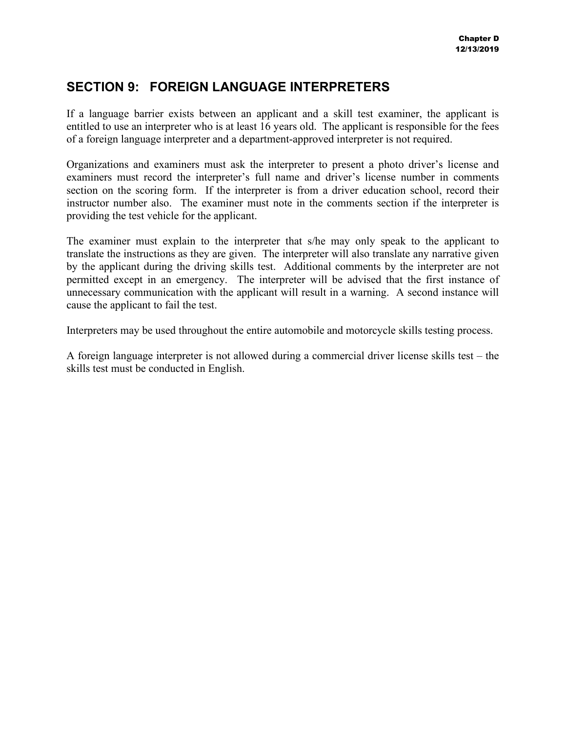### **SECTION 9: FOREIGN LANGUAGE INTERPRETERS**

If a language barrier exists between an applicant and a skill test examiner, the applicant is entitled to use an interpreter who is at least 16 years old. The applicant is responsible for the fees of a foreign language interpreter and a department-approved interpreter is not required.

Organizations and examiners must ask the interpreter to present a photo driver's license and examiners must record the interpreter's full name and driver's license number in comments section on the scoring form. If the interpreter is from a driver education school, record their instructor number also. The examiner must note in the comments section if the interpreter is providing the test vehicle for the applicant.

The examiner must explain to the interpreter that s/he may only speak to the applicant to translate the instructions as they are given. The interpreter will also translate any narrative given by the applicant during the driving skills test. Additional comments by the interpreter are not permitted except in an emergency. The interpreter will be advised that the first instance of unnecessary communication with the applicant will result in a warning. A second instance will cause the applicant to fail the test.

Interpreters may be used throughout the entire automobile and motorcycle skills testing process.

A foreign language interpreter is not allowed during a commercial driver license skills test – the skills test must be conducted in English.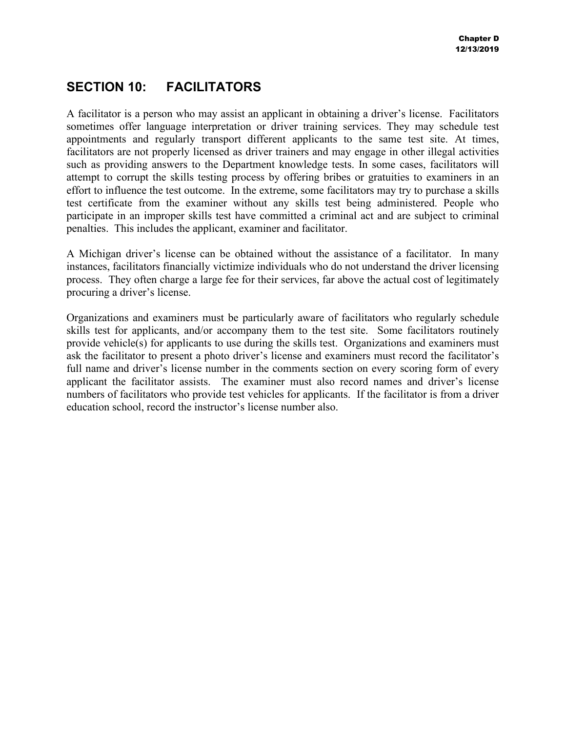### **SECTION 10: FACILITATORS**

A facilitator is a person who may assist an applicant in obtaining a driver's license. Facilitators sometimes offer language interpretation or driver training services. They may schedule test appointments and regularly transport different applicants to the same test site. At times, facilitators are not properly licensed as driver trainers and may engage in other illegal activities such as providing answers to the Department knowledge tests. In some cases, facilitators will attempt to corrupt the skills testing process by offering bribes or gratuities to examiners in an effort to influence the test outcome. In the extreme, some facilitators may try to purchase a skills test certificate from the examiner without any skills test being administered. People who participate in an improper skills test have committed a criminal act and are subject to criminal penalties. This includes the applicant, examiner and facilitator.

A Michigan driver's license can be obtained without the assistance of a facilitator. In many instances, facilitators financially victimize individuals who do not understand the driver licensing process. They often charge a large fee for their services, far above the actual cost of legitimately procuring a driver's license.

Organizations and examiners must be particularly aware of facilitators who regularly schedule skills test for applicants, and/or accompany them to the test site. Some facilitators routinely provide vehicle(s) for applicants to use during the skills test. Organizations and examiners must ask the facilitator to present a photo driver's license and examiners must record the facilitator's full name and driver's license number in the comments section on every scoring form of every applicant the facilitator assists. The examiner must also record names and driver's license numbers of facilitators who provide test vehicles for applicants. If the facilitator is from a driver education school, record the instructor's license number also.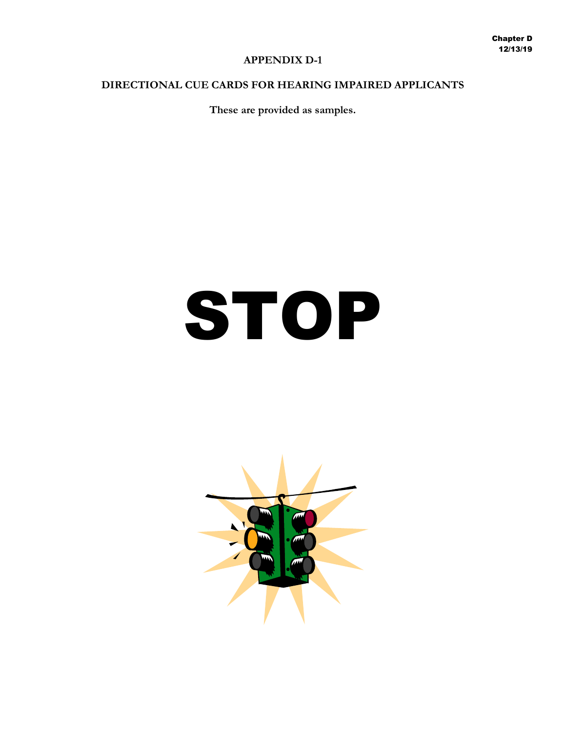### **APPENDIX D-1**

### **DIRECTIONAL CUE CARDS FOR HEARING IMPAIRED APPLICANTS**

**These are provided as samples.**

### STOP

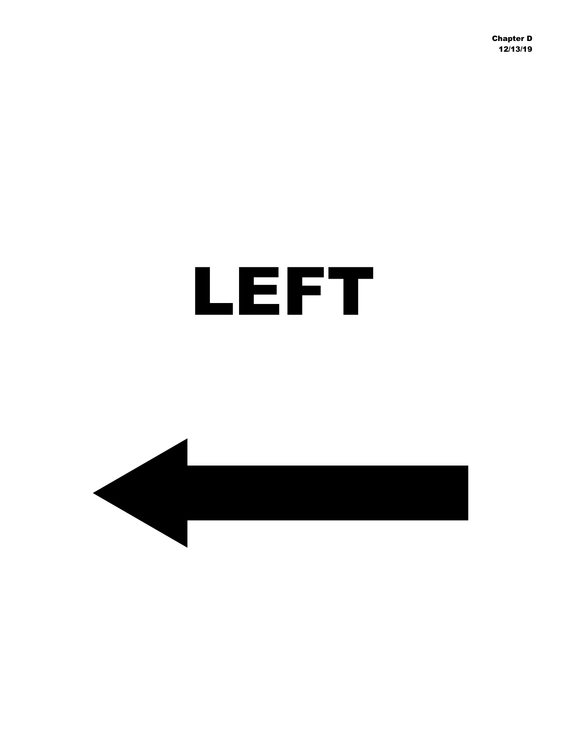### LEFT

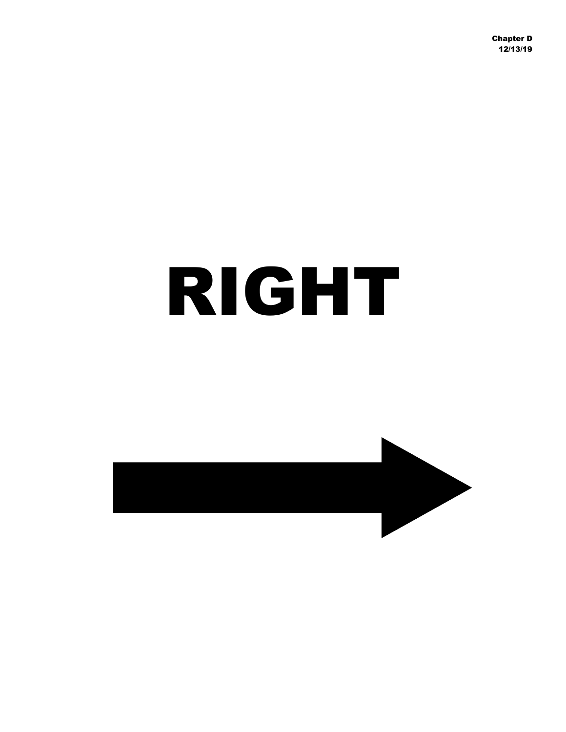### RIGHT

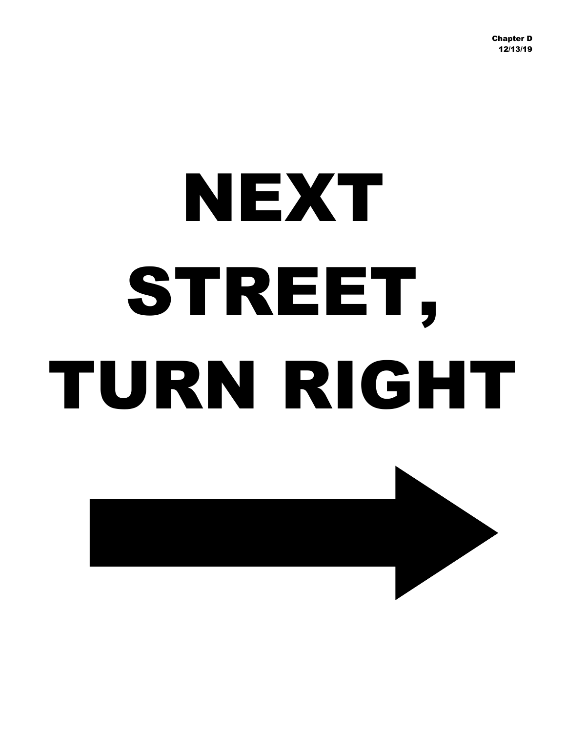# NEXT STREET, TURN RIGHT

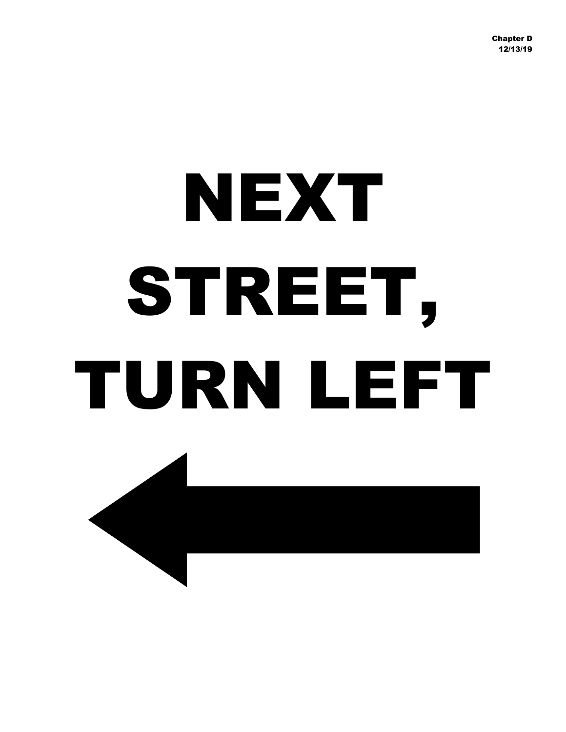# NEXT STREET, TURN LEFT

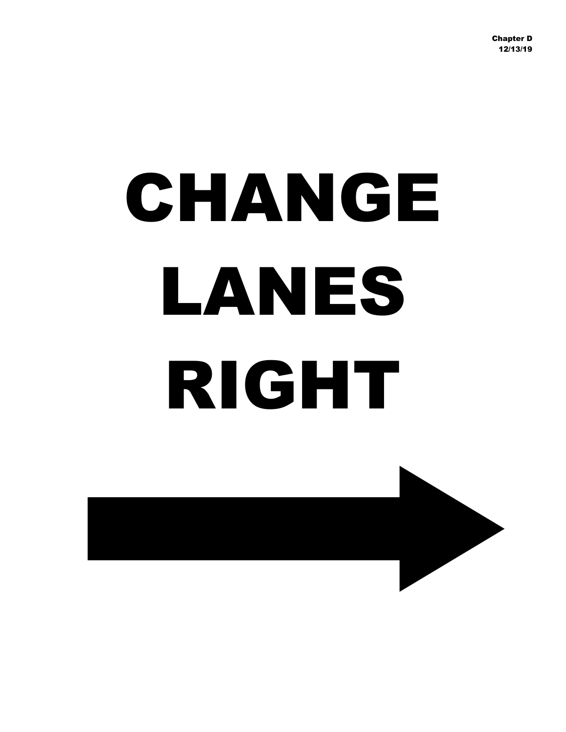# CHANGE LANES RIGHT

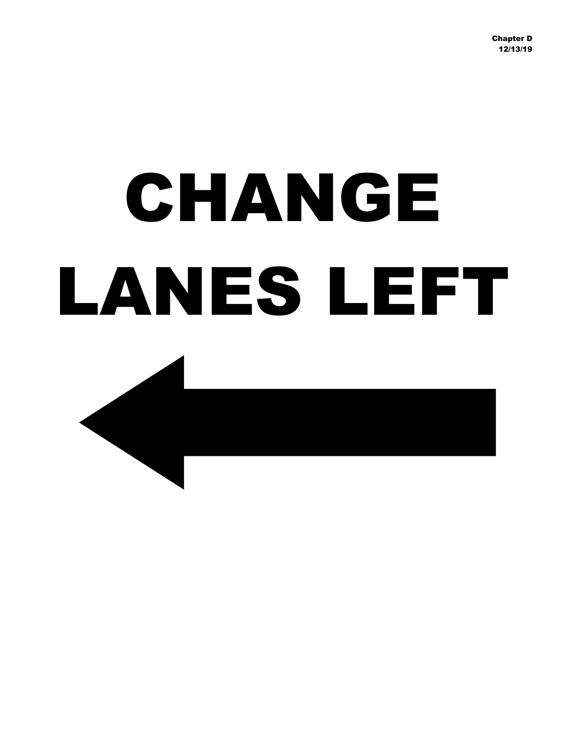## CHANGE LANES LEFT

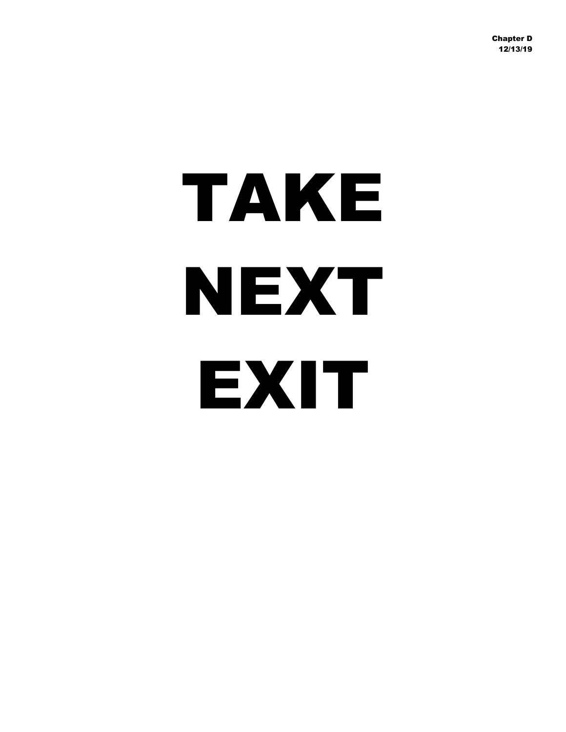# TAKE NEXT EXIT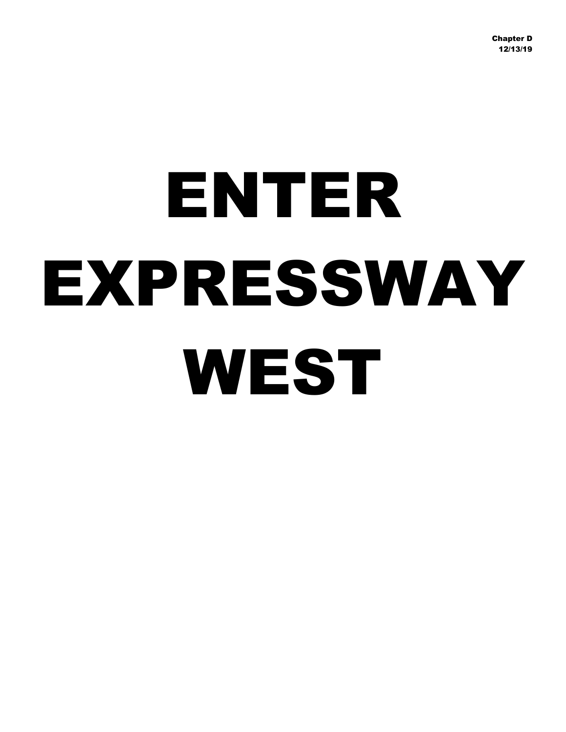### ENTER EXPRESSWAY WEST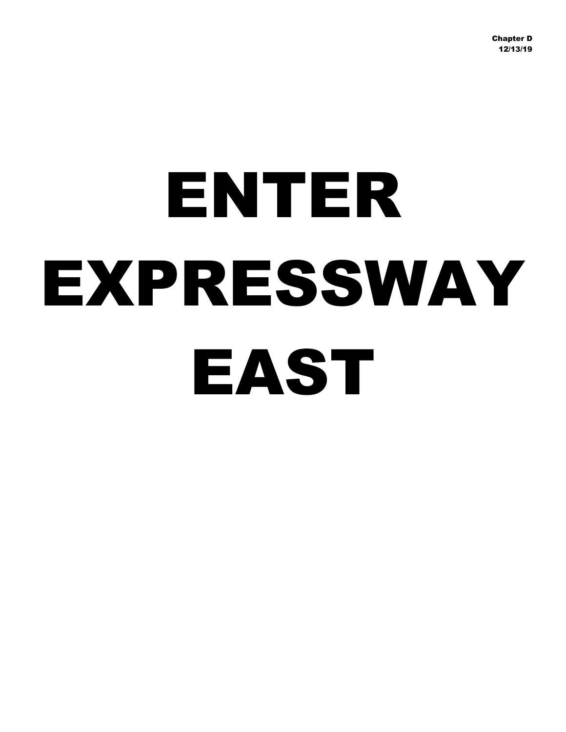### ENTER EXPRESSWAY EAST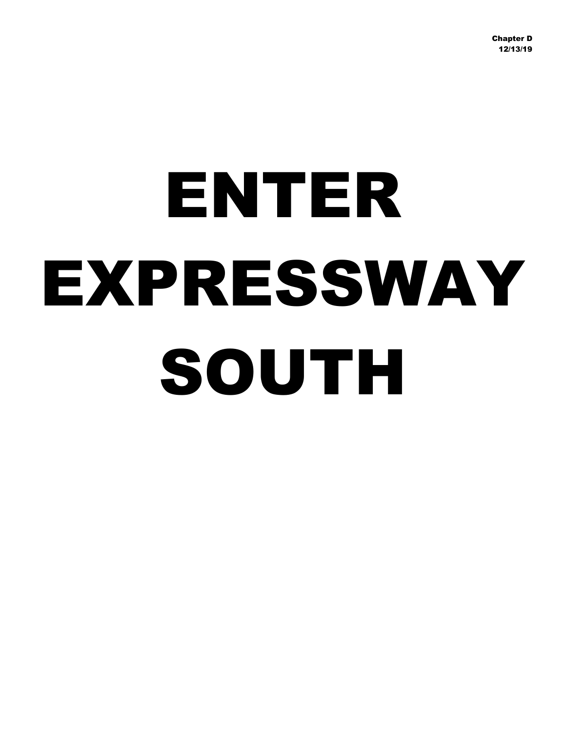## ENTER EXPRESSWAY SOUTH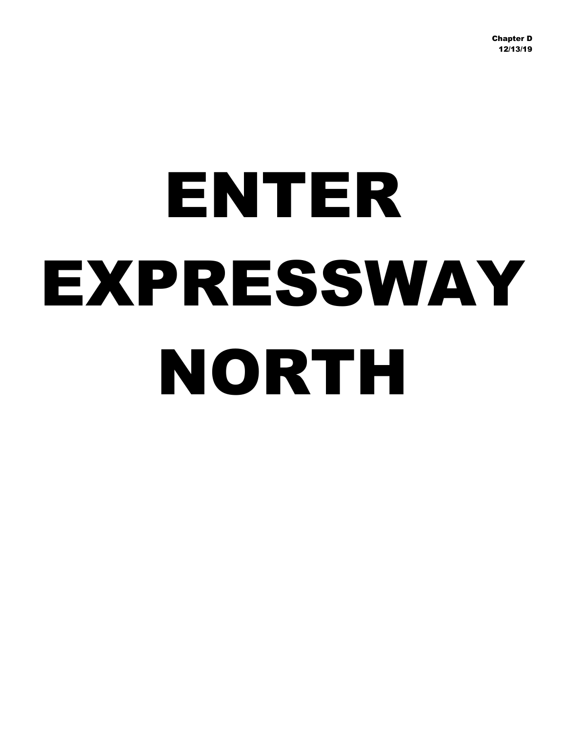## ENTER EXPRESSWAY NORTH